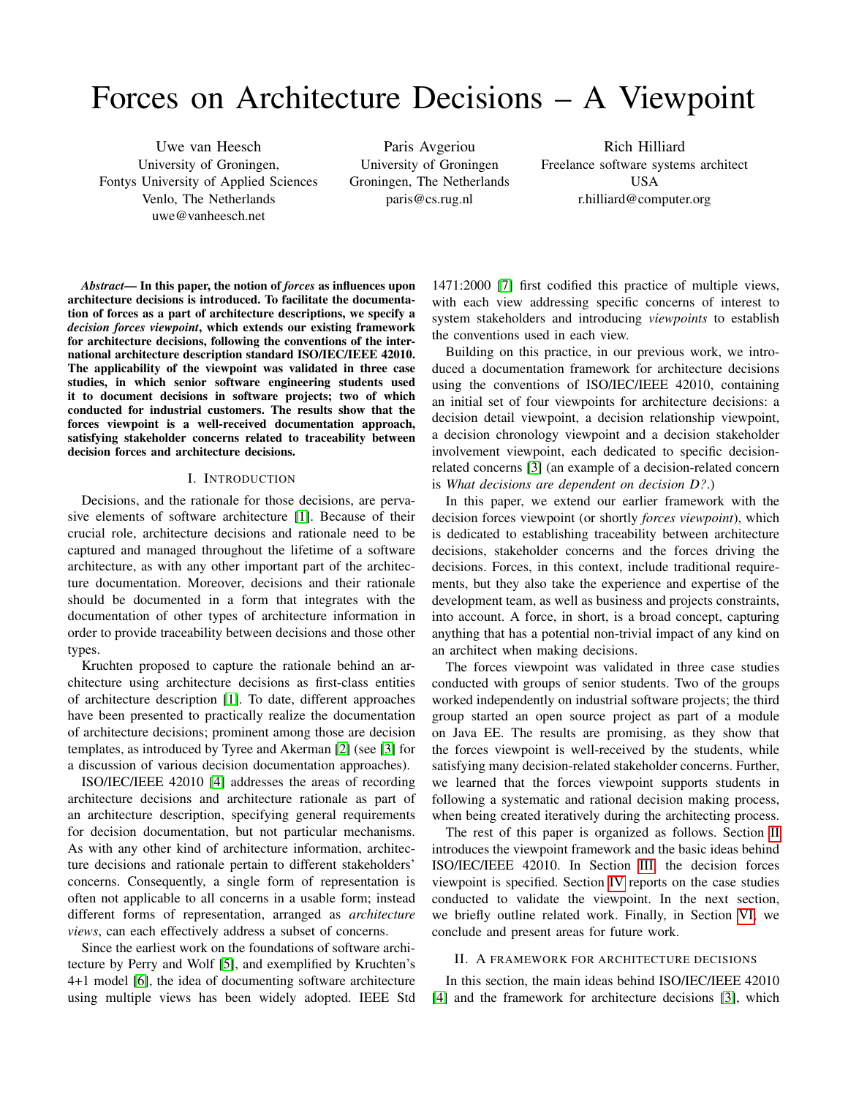# Forces on Architecture Decisions – A Viewpoint

Uwe van Heesch University of Groningen, Fontys University of Applied Sciences Venlo, The Netherlands uwe@vanheesch.net

Paris Avgeriou University of Groningen Groningen, The Netherlands paris@cs.rug.nl

Rich Hilliard Freelance software systems architect USA r.hilliard@computer.org

*Abstract*— In this paper, the notion of *forces* as influences upon architecture decisions is introduced. To facilitate the documentation of forces as a part of architecture descriptions, we specify a *decision forces viewpoint*, which extends our existing framework for architecture decisions, following the conventions of the international architecture description standard ISO/IEC/IEEE 42010. The applicability of the viewpoint was validated in three case studies, in which senior software engineering students used it to document decisions in software projects; two of which conducted for industrial customers. The results show that the forces viewpoint is a well-received documentation approach, satisfying stakeholder concerns related to traceability between decision forces and architecture decisions.

## I. INTRODUCTION

Decisions, and the rationale for those decisions, are pervasive elements of software architecture [\[1\]](#page-9-0). Because of their crucial role, architecture decisions and rationale need to be captured and managed throughout the lifetime of a software architecture, as with any other important part of the architecture documentation. Moreover, decisions and their rationale should be documented in a form that integrates with the documentation of other types of architecture information in order to provide traceability between decisions and those other types.

Kruchten proposed to capture the rationale behind an architecture using architecture decisions as first-class entities of architecture description [\[1\]](#page-9-0). To date, different approaches have been presented to practically realize the documentation of architecture decisions; prominent among those are decision templates, as introduced by Tyree and Akerman [\[2\]](#page-9-1) (see [\[3\]](#page-9-2) for a discussion of various decision documentation approaches).

ISO/IEC/IEEE 42010 [\[4\]](#page-9-3) addresses the areas of recording architecture decisions and architecture rationale as part of an architecture description, specifying general requirements for decision documentation, but not particular mechanisms. As with any other kind of architecture information, architecture decisions and rationale pertain to different stakeholders' concerns. Consequently, a single form of representation is often not applicable to all concerns in a usable form; instead different forms of representation, arranged as *architecture views*, can each effectively address a subset of concerns.

Since the earliest work on the foundations of software architecture by Perry and Wolf [\[5\]](#page-9-4), and exemplified by Kruchten's 4+1 model [\[6\]](#page-9-5), the idea of documenting software architecture using multiple views has been widely adopted. IEEE Std

1471:2000 [\[7\]](#page-9-6) first codified this practice of multiple views, with each view addressing specific concerns of interest to system stakeholders and introducing *viewpoints* to establish the conventions used in each view.

Building on this practice, in our previous work, we introduced a documentation framework for architecture decisions using the conventions of ISO/IEC/IEEE 42010, containing an initial set of four viewpoints for architecture decisions: a decision detail viewpoint, a decision relationship viewpoint, a decision chronology viewpoint and a decision stakeholder involvement viewpoint, each dedicated to specific decisionrelated concerns [\[3\]](#page-9-2) (an example of a decision-related concern is *What decisions are dependent on decision D?*.)

In this paper, we extend our earlier framework with the decision forces viewpoint (or shortly *forces viewpoint*), which is dedicated to establishing traceability between architecture decisions, stakeholder concerns and the forces driving the decisions. Forces, in this context, include traditional requirements, but they also take the experience and expertise of the development team, as well as business and projects constraints, into account. A force, in short, is a broad concept, capturing anything that has a potential non-trivial impact of any kind on an architect when making decisions.

The forces viewpoint was validated in three case studies conducted with groups of senior students. Two of the groups worked independently on industrial software projects; the third group started an open source project as part of a module on Java EE. The results are promising, as they show that the forces viewpoint is well-received by the students, while satisfying many decision-related stakeholder concerns. Further, we learned that the forces viewpoint supports students in following a systematic and rational decision making process, when being created iteratively during the architecting process.

The rest of this paper is organized as follows. Section [II](#page-0-0) introduces the viewpoint framework and the basic ideas behind ISO/IEC/IEEE 42010. In Section [III,](#page-1-0) the decision forces viewpoint is specified. Section [IV](#page-4-0) reports on the case studies conducted to validate the viewpoint. In the next section, we briefly outline related work. Finally, in Section [VI,](#page-9-7) we conclude and present areas for future work.

## <span id="page-0-0"></span>II. A FRAMEWORK FOR ARCHITECTURE DECISIONS

In this section, the main ideas behind ISO/IEC/IEEE 42010 [\[4\]](#page-9-3) and the framework for architecture decisions [\[3\]](#page-9-2), which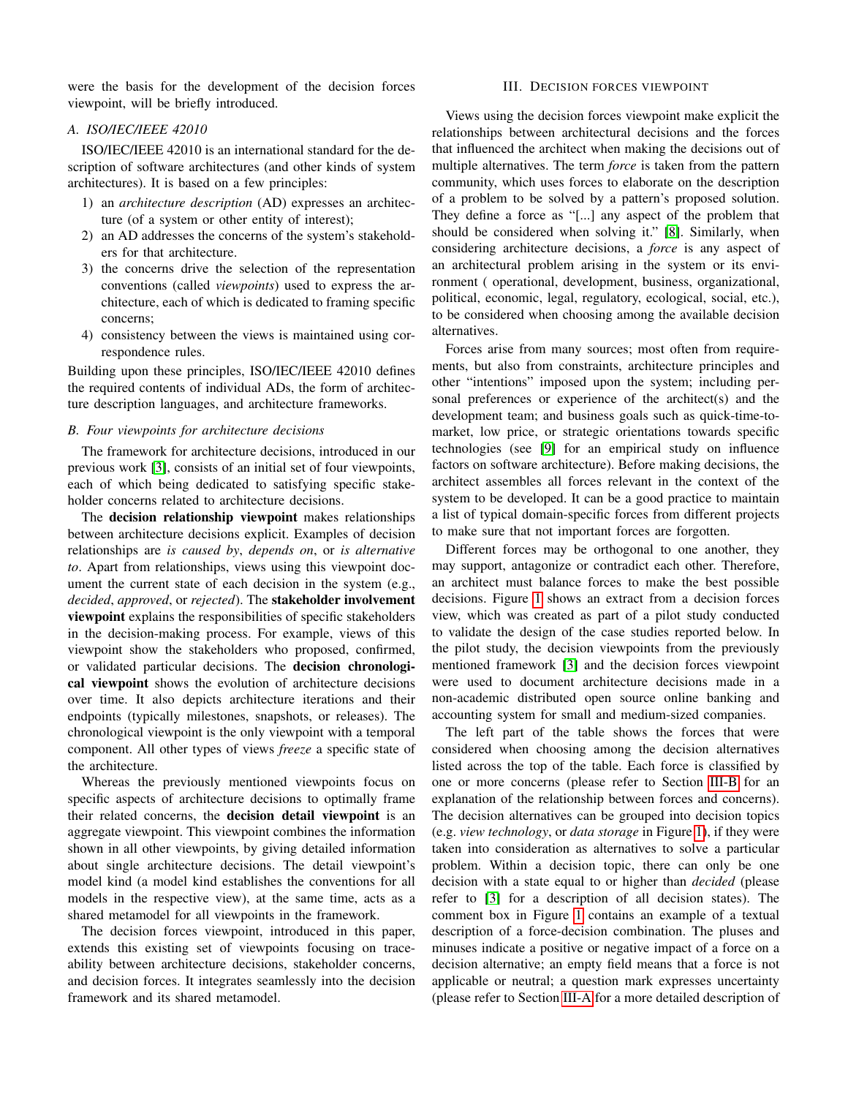were the basis for the development of the decision forces viewpoint, will be briefly introduced.

# *A. ISO/IEC/IEEE 42010*

ISO/IEC/IEEE 42010 is an international standard for the description of software architectures (and other kinds of system architectures). It is based on a few principles:

- 1) an *architecture description* (AD) expresses an architecture (of a system or other entity of interest);
- 2) an AD addresses the concerns of the system's stakeholders for that architecture.
- 3) the concerns drive the selection of the representation conventions (called *viewpoints*) used to express the architecture, each of which is dedicated to framing specific concerns;
- 4) consistency between the views is maintained using correspondence rules.

Building upon these principles, ISO/IEC/IEEE 42010 defines the required contents of individual ADs, the form of architecture description languages, and architecture frameworks.

#### *B. Four viewpoints for architecture decisions*

The framework for architecture decisions, introduced in our previous work [\[3\]](#page-9-2), consists of an initial set of four viewpoints, each of which being dedicated to satisfying specific stakeholder concerns related to architecture decisions.

The decision relationship viewpoint makes relationships between architecture decisions explicit. Examples of decision relationships are *is caused by*, *depends on*, or *is alternative to*. Apart from relationships, views using this viewpoint document the current state of each decision in the system (e.g., *decided*, *approved*, or *rejected*). The stakeholder involvement viewpoint explains the responsibilities of specific stakeholders in the decision-making process. For example, views of this viewpoint show the stakeholders who proposed, confirmed, or validated particular decisions. The decision chronological viewpoint shows the evolution of architecture decisions over time. It also depicts architecture iterations and their endpoints (typically milestones, snapshots, or releases). The chronological viewpoint is the only viewpoint with a temporal component. All other types of views *freeze* a specific state of the architecture.

Whereas the previously mentioned viewpoints focus on specific aspects of architecture decisions to optimally frame their related concerns, the decision detail viewpoint is an aggregate viewpoint. This viewpoint combines the information shown in all other viewpoints, by giving detailed information about single architecture decisions. The detail viewpoint's model kind (a model kind establishes the conventions for all models in the respective view), at the same time, acts as a shared metamodel for all viewpoints in the framework.

The decision forces viewpoint, introduced in this paper, extends this existing set of viewpoints focusing on traceability between architecture decisions, stakeholder concerns, and decision forces. It integrates seamlessly into the decision framework and its shared metamodel.

### III. DECISION FORCES VIEWPOINT

<span id="page-1-0"></span>Views using the decision forces viewpoint make explicit the relationships between architectural decisions and the forces that influenced the architect when making the decisions out of multiple alternatives. The term *force* is taken from the pattern community, which uses forces to elaborate on the description of a problem to be solved by a pattern's proposed solution. They define a force as "[...] any aspect of the problem that should be considered when solving it." [\[8\]](#page-9-8). Similarly, when considering architecture decisions, a *force* is any aspect of an architectural problem arising in the system or its environment ( operational, development, business, organizational, political, economic, legal, regulatory, ecological, social, etc.), to be considered when choosing among the available decision alternatives.

Forces arise from many sources; most often from requirements, but also from constraints, architecture principles and other "intentions" imposed upon the system; including personal preferences or experience of the architect(s) and the development team; and business goals such as quick-time-tomarket, low price, or strategic orientations towards specific technologies (see [\[9\]](#page-9-9) for an empirical study on influence factors on software architecture). Before making decisions, the architect assembles all forces relevant in the context of the system to be developed. It can be a good practice to maintain a list of typical domain-specific forces from different projects to make sure that not important forces are forgotten.

Different forces may be orthogonal to one another, they may support, antagonize or contradict each other. Therefore, an architect must balance forces to make the best possible decisions. Figure [1](#page-2-0) shows an extract from a decision forces view, which was created as part of a pilot study conducted to validate the design of the case studies reported below. In the pilot study, the decision viewpoints from the previously mentioned framework [\[3\]](#page-9-2) and the decision forces viewpoint were used to document architecture decisions made in a non-academic distributed open source online banking and accounting system for small and medium-sized companies.

The left part of the table shows the forces that were considered when choosing among the decision alternatives listed across the top of the table. Each force is classified by one or more concerns (please refer to Section [III-B](#page-4-1) for an explanation of the relationship between forces and concerns). The decision alternatives can be grouped into decision topics (e.g. *view technology*, or *data storage* in Figure [1\)](#page-2-0), if they were taken into consideration as alternatives to solve a particular problem. Within a decision topic, there can only be one decision with a state equal to or higher than *decided* (please refer to [\[3\]](#page-9-2) for a description of all decision states). The comment box in Figure [1](#page-2-0) contains an example of a textual description of a force-decision combination. The pluses and minuses indicate a positive or negative impact of a force on a decision alternative; an empty field means that a force is not applicable or neutral; a question mark expresses uncertainty (please refer to Section [III-A](#page-2-1) for a more detailed description of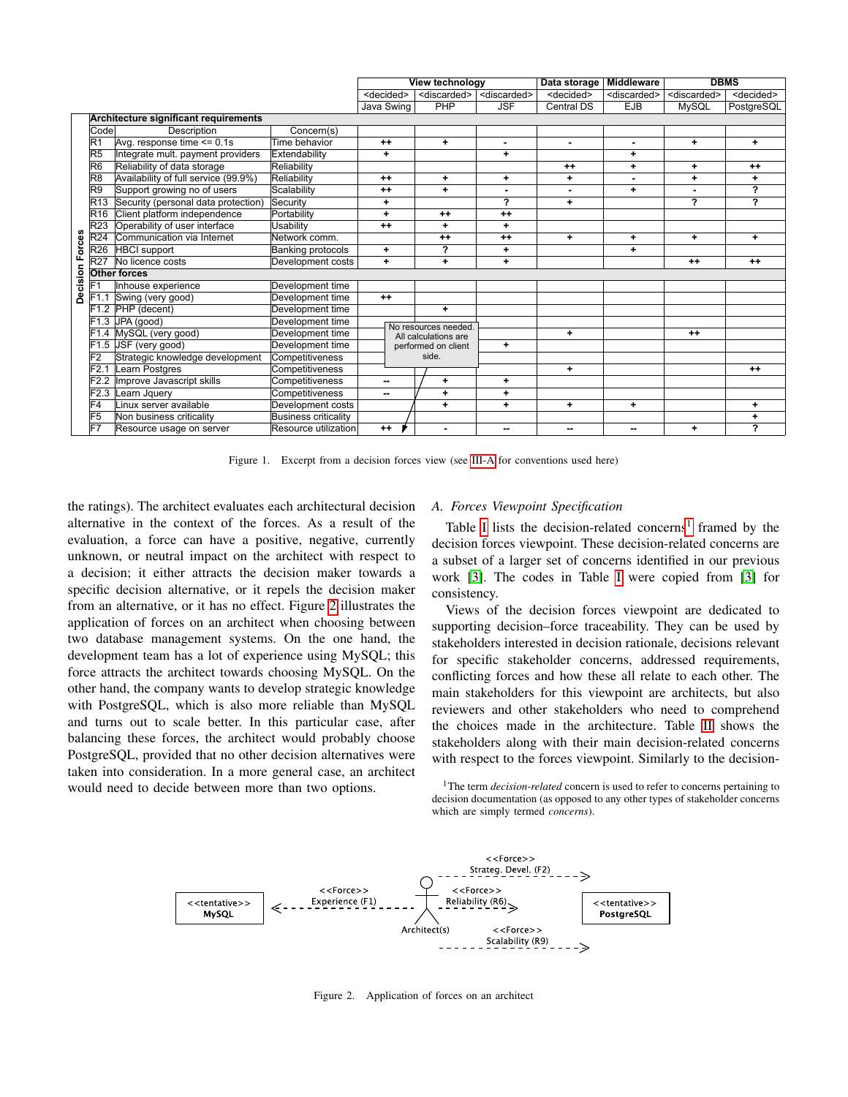|                                       |                          |                                      |                      | View technology |                         |                         | Data storage            | <b>Middleware</b>        | <b>DBMS</b>             |                         |            |
|---------------------------------------|--------------------------|--------------------------------------|----------------------|-----------------|-------------------------|-------------------------|-------------------------|--------------------------|-------------------------|-------------------------|------------|
|                                       |                          |                                      | <decided></decided>  |                 | <discarded></discarded> | <discarded></discarded> | <decided></decided>     | <discarded></discarded>  | <discarded></discarded> | <decided></decided>     |            |
|                                       |                          |                                      |                      | Java Swing      |                         | PHP                     | <b>JSF</b>              | Central DS               | <b>EJB</b>              | <b>MvSQL</b>            | PostgreSQL |
| Architecture significant requirements |                          |                                      |                      |                 |                         |                         |                         |                          |                         |                         |            |
|                                       | Code                     | Description                          | Concern(s)           |                 |                         |                         |                         |                          |                         |                         |            |
|                                       | R1                       | Avg. response time $\leq 0.1$ s      | Time behavior        | $++$            |                         | ۰.                      |                         | $\overline{\phantom{a}}$ |                         | ٠                       | ٠          |
|                                       | R <sub>5</sub>           | Integrate mult. payment providers    | Extendability        | ٠.              |                         |                         | $\ddot{}$               |                          | $\ddot{}$               |                         |            |
|                                       | R <sub>6</sub>           | Reliability of data storage          | Reliability          |                 |                         |                         |                         | $++$                     | $\ddot{}$               | ÷                       | $++$       |
|                                       | R <sub>8</sub>           | Availability of full service (99.9%) | Reliability          | $++$            |                         | ÷                       | ÷                       | ÷                        | $\blacksquare$          | $\ddot{}$               | ÷          |
|                                       | R9                       | Support growing no of users          | Scalability          | $++$            |                         | $\ddot{}$               | $\blacksquare$          | ä,                       | ۰.                      | ٠                       | ?          |
|                                       | R <sub>13</sub>          | Security (personal data protection)  | Security             | ٠               |                         |                         | $\overline{\mathbf{r}}$ | ٠                        |                         | $\overline{\mathbf{r}}$ | 2          |
|                                       | R <sub>16</sub>          | Client platform independence         | Portability          | $\ddot{}$       |                         | $++$                    | $++$                    |                          |                         |                         |            |
|                                       | <b>R23</b>               | Operability of user interface        | Usability            | $++$            |                         | ÷                       | ÷                       |                          |                         |                         |            |
| orces                                 | R <sub>24</sub>          | Communication via Internet           | Network comm.        |                 |                         | $++$                    | $++$                    | ÷                        | $\ddot{}$               | ÷                       | ÷          |
|                                       | <b>R26</b>               | <b>HBCI</b> support                  | Banking protocols    | ٠.              |                         | ?                       | ٠                       |                          | $\ddot{}$               |                         |            |
| LĨ,                                   | R27                      | No licence costs                     | Development costs    | $\ddot{}$       |                         | $\ddot{}$               | $\ddot{}$               |                          |                         | $++$                    | $^{++}$    |
| Decision                              | <b>Other forces</b>      |                                      |                      |                 |                         |                         |                         |                          |                         |                         |            |
|                                       | $\overline{\mathsf{F1}}$ | Inhouse experience                   | Development time     |                 |                         |                         |                         |                          |                         |                         |            |
|                                       | F1.1                     | Swing (very good)                    | Development time     | $++$            |                         |                         |                         |                          |                         |                         |            |
|                                       | F1.2                     | PHP (decent)                         | Development time     |                 |                         | $\ddot{}$               |                         |                          |                         |                         |            |
|                                       | $\overline{F1.3}$        | JPA (good)                           | Development time     |                 |                         | No resources needed.    |                         |                          |                         |                         |            |
|                                       | $\overline{F1.4}$        | MySQL (very good)                    | Development time     |                 |                         | All calculations are    |                         | ÷                        |                         | $++$                    |            |
|                                       | F1.5                     | JSF (very good)                      | Development time     |                 |                         | performed on client     | ÷                       |                          |                         |                         |            |
|                                       | F2                       | Strategic knowledge development      | Competitiveness      |                 | side.                   |                         |                         |                          |                         |                         |            |
|                                       | F2.1                     | Learn Postgres                       | Competitiveness      |                 |                         |                         |                         | $\ddot{}$                |                         |                         | $++$       |
|                                       | F2.2                     | Improve Javascript skills            | Competitiveness      | --              |                         | ٠                       | ٠                       |                          |                         |                         |            |
|                                       | F2.3                     | Learn Jquery                         | Competitiveness      | --              |                         | $\ddot{}$               | $\ddot{}$               |                          |                         |                         |            |
|                                       | F <sub>4</sub>           | Linux server available               | Development costs    |                 |                         | $\ddot{}$               | $\ddot{}$               | ٠                        | ÷                       |                         | ٠          |
|                                       | F <sub>5</sub>           | Non business criticality             | Business criticality |                 |                         |                         |                         |                          |                         |                         | ٠          |
|                                       | F7                       | Resource usage on server             | Resource utilization | $++$            |                         |                         | --                      |                          |                         | ٠                       | ?          |

<span id="page-2-0"></span>Figure 1. Excerpt from a decision forces view (see [III-A](#page-2-1) for conventions used here)

the ratings). The architect evaluates each architectural decision alternative in the context of the forces. As a result of the evaluation, a force can have a positive, negative, currently unknown, or neutral impact on the architect with respect to a decision; it either attracts the decision maker towards a specific decision alternative, or it repels the decision maker from an alternative, or it has no effect. Figure [2](#page-2-2) illustrates the application of forces on an architect when choosing between two database management systems. On the one hand, the development team has a lot of experience using MySQL; this force attracts the architect towards choosing MySQL. On the other hand, the company wants to develop strategic knowledge with PostgreSQL, which is also more reliable than MySQL and turns out to scale better. In this particular case, after balancing these forces, the architect would probably choose PostgreSQL, provided that no other decision alternatives were taken into consideration. In a more general case, an architect would need to decide between more than two options.

### <span id="page-2-1"></span>*A. Forces Viewpoint Specification*

Table [I](#page-3-0) lists the decision-related concerns<sup>[1](#page-2-3)</sup> framed by the decision forces viewpoint. These decision-related concerns are a subset of a larger set of concerns identified in our previous work [\[3\]](#page-9-2). The codes in Table [I](#page-3-0) were copied from [\[3\]](#page-9-2) for consistency.

Views of the decision forces viewpoint are dedicated to supporting decision–force traceability. They can be used by stakeholders interested in decision rationale, decisions relevant for specific stakeholder concerns, addressed requirements, conflicting forces and how these all relate to each other. The main stakeholders for this viewpoint are architects, but also reviewers and other stakeholders who need to comprehend the choices made in the architecture. Table [II](#page-3-1) shows the stakeholders along with their main decision-related concerns with respect to the forces viewpoint. Similarly to the decision-

<span id="page-2-3"></span><sup>1</sup>The term *decision-related* concern is used to refer to concerns pertaining to decision documentation (as opposed to any other types of stakeholder concerns which are simply termed *concerns*).



<span id="page-2-2"></span>Figure 2. Application of forces on an architect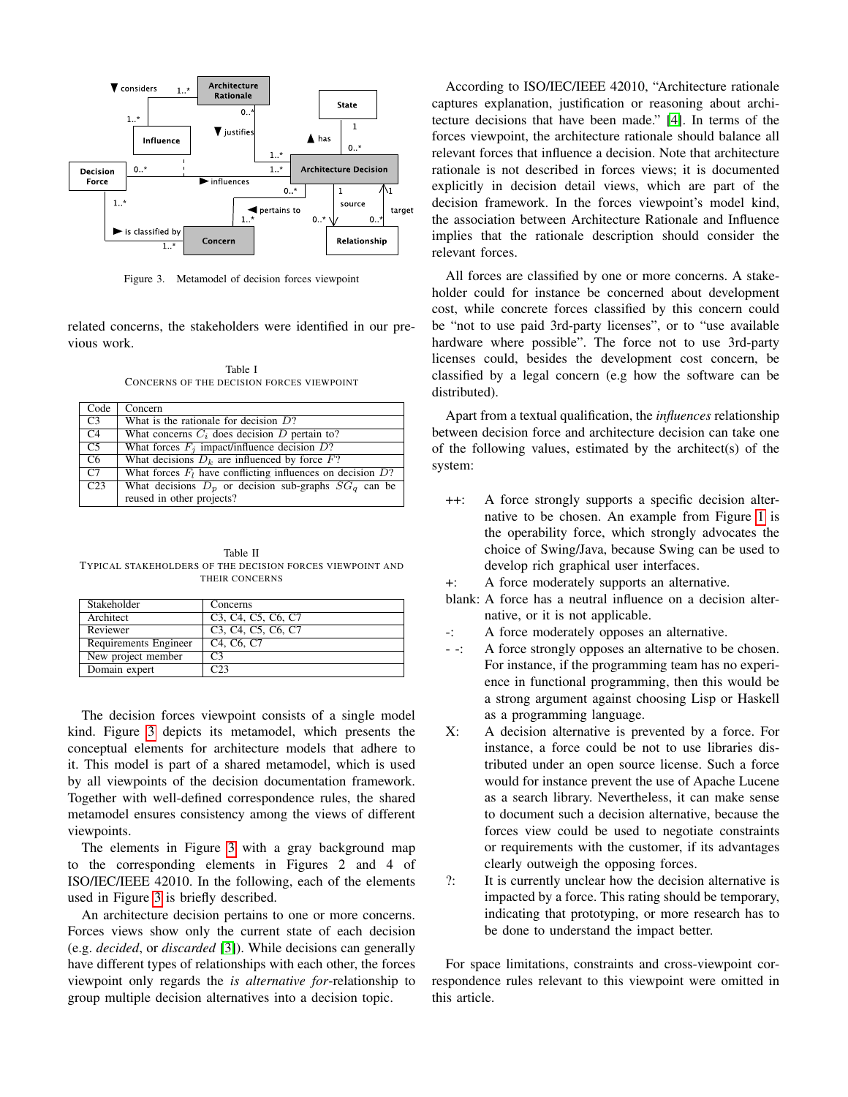

<span id="page-3-2"></span>Figure 3. Metamodel of decision forces viewpoint

related concerns, the stakeholders were identified in our previous work.

Table I CONCERNS OF THE DECISION FORCES VIEWPOINT

<span id="page-3-0"></span>

| Code             | Concern                                                         |
|------------------|-----------------------------------------------------------------|
| C <sub>3</sub>   | What is the rationale for decision $D$ ?                        |
| C <sub>4</sub>   | What concerns $C_i$ does decision D pertain to?                 |
| $\overline{C}$   | What forces $F_i$ impact/influence decision $D$ ?               |
| C <sub>6</sub>   | What decisions $D_k$ are influenced by force $F$ ?              |
| $\overline{C}$ 7 | What forces $F_l$ have conflicting influences on decision $D$ ? |
| $\overline{C23}$ | What decisions $D_p$ or decision sub-graphs $SG_q$ can be       |
|                  | reused in other projects?                                       |

<span id="page-3-1"></span>Table II TYPICAL STAKEHOLDERS OF THE DECISION FORCES VIEWPOINT AND THEIR CONCERNS

| Stakeholder           | Concerns                                                                           |
|-----------------------|------------------------------------------------------------------------------------|
| Architect             | C <sub>3</sub> , C <sub>4</sub> , C <sub>5</sub> , C <sub>6</sub> , C <sub>7</sub> |
| Reviewer              | C <sub>3</sub> , C <sub>4</sub> , C <sub>5</sub> , C <sub>6</sub> , C <sub>7</sub> |
| Requirements Engineer | C <sub>4</sub> . C <sub>6</sub> . C <sub>7</sub>                                   |
| New project member    | $\mathsf{C}^3$                                                                     |
| Domain expert         | C22                                                                                |

The decision forces viewpoint consists of a single model kind. Figure [3](#page-3-2) depicts its metamodel, which presents the conceptual elements for architecture models that adhere to it. This model is part of a shared metamodel, which is used by all viewpoints of the decision documentation framework. Together with well-defined correspondence rules, the shared metamodel ensures consistency among the views of different viewpoints.

The elements in Figure [3](#page-3-2) with a gray background map to the corresponding elements in Figures 2 and 4 of ISO/IEC/IEEE 42010. In the following, each of the elements used in Figure [3](#page-3-2) is briefly described.

An architecture decision pertains to one or more concerns. Forces views show only the current state of each decision (e.g. *decided*, or *discarded* [\[3\]](#page-9-2)). While decisions can generally have different types of relationships with each other, the forces viewpoint only regards the *is alternative for*-relationship to group multiple decision alternatives into a decision topic.

According to ISO/IEC/IEEE 42010, "Architecture rationale captures explanation, justification or reasoning about architecture decisions that have been made." [\[4\]](#page-9-3). In terms of the forces viewpoint, the architecture rationale should balance all relevant forces that influence a decision. Note that architecture rationale is not described in forces views; it is documented explicitly in decision detail views, which are part of the decision framework. In the forces viewpoint's model kind, the association between Architecture Rationale and Influence implies that the rationale description should consider the relevant forces.

All forces are classified by one or more concerns. A stakeholder could for instance be concerned about development cost, while concrete forces classified by this concern could be "not to use paid 3rd-party licenses", or to "use available hardware where possible". The force not to use 3rd-party licenses could, besides the development cost concern, be classified by a legal concern (e.g how the software can be distributed).

Apart from a textual qualification, the *influences* relationship between decision force and architecture decision can take one of the following values, estimated by the architect(s) of the system:

- ++: A force strongly supports a specific decision alternative to be chosen. An example from Figure [1](#page-2-0) is the operability force, which strongly advocates the choice of Swing/Java, because Swing can be used to develop rich graphical user interfaces.
- +: A force moderately supports an alternative.
- blank: A force has a neutral influence on a decision alternative, or it is not applicable.
- -: A force moderately opposes an alternative.
- -: A force strongly opposes an alternative to be chosen. For instance, if the programming team has no experience in functional programming, then this would be a strong argument against choosing Lisp or Haskell as a programming language.
- X: A decision alternative is prevented by a force. For instance, a force could be not to use libraries distributed under an open source license. Such a force would for instance prevent the use of Apache Lucene as a search library. Nevertheless, it can make sense to document such a decision alternative, because the forces view could be used to negotiate constraints or requirements with the customer, if its advantages clearly outweigh the opposing forces.
- ?: It is currently unclear how the decision alternative is impacted by a force. This rating should be temporary, indicating that prototyping, or more research has to be done to understand the impact better.

For space limitations, constraints and cross-viewpoint correspondence rules relevant to this viewpoint were omitted in this article.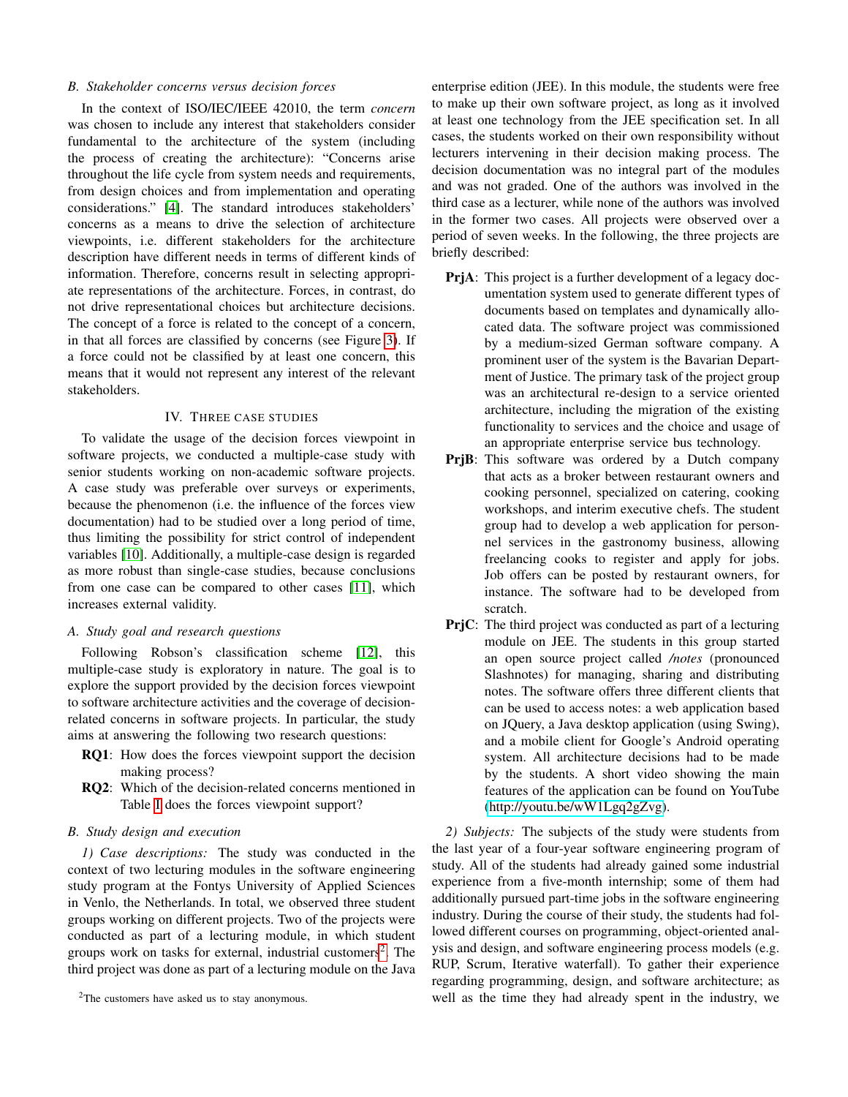### <span id="page-4-1"></span>*B. Stakeholder concerns versus decision forces*

In the context of ISO/IEC/IEEE 42010, the term *concern* was chosen to include any interest that stakeholders consider fundamental to the architecture of the system (including the process of creating the architecture): "Concerns arise throughout the life cycle from system needs and requirements, from design choices and from implementation and operating considerations." [\[4\]](#page-9-3). The standard introduces stakeholders' concerns as a means to drive the selection of architecture viewpoints, i.e. different stakeholders for the architecture description have different needs in terms of different kinds of information. Therefore, concerns result in selecting appropriate representations of the architecture. Forces, in contrast, do not drive representational choices but architecture decisions. The concept of a force is related to the concept of a concern, in that all forces are classified by concerns (see Figure [3\)](#page-3-2). If a force could not be classified by at least one concern, this means that it would not represent any interest of the relevant stakeholders.

## IV. THREE CASE STUDIES

<span id="page-4-0"></span>To validate the usage of the decision forces viewpoint in software projects, we conducted a multiple-case study with senior students working on non-academic software projects. A case study was preferable over surveys or experiments, because the phenomenon (i.e. the influence of the forces view documentation) had to be studied over a long period of time, thus limiting the possibility for strict control of independent variables [\[10\]](#page-9-10). Additionally, a multiple-case design is regarded as more robust than single-case studies, because conclusions from one case can be compared to other cases [\[11\]](#page-9-11), which increases external validity.

#### *A. Study goal and research questions*

Following Robson's classification scheme [\[12\]](#page-9-12), this multiple-case study is exploratory in nature. The goal is to explore the support provided by the decision forces viewpoint to software architecture activities and the coverage of decisionrelated concerns in software projects. In particular, the study aims at answering the following two research questions:

- RQ1: How does the forces viewpoint support the decision making process?
- RQ2: Which of the decision-related concerns mentioned in Table [I](#page-3-0) does the forces viewpoint support?

### *B. Study design and execution*

*1) Case descriptions:* The study was conducted in the context of two lecturing modules in the software engineering study program at the Fontys University of Applied Sciences in Venlo, the Netherlands. In total, we observed three student groups working on different projects. Two of the projects were conducted as part of a lecturing module, in which student groups work on tasks for external, industrial customers<sup>[2](#page-4-2)</sup>. The third project was done as part of a lecturing module on the Java

<span id="page-4-2"></span><sup>2</sup>The customers have asked us to stay anonymous.

enterprise edition (JEE). In this module, the students were free to make up their own software project, as long as it involved at least one technology from the JEE specification set. In all cases, the students worked on their own responsibility without lecturers intervening in their decision making process. The decision documentation was no integral part of the modules and was not graded. One of the authors was involved in the third case as a lecturer, while none of the authors was involved in the former two cases. All projects were observed over a period of seven weeks. In the following, the three projects are briefly described:

- **PrjA:** This project is a further development of a legacy documentation system used to generate different types of documents based on templates and dynamically allocated data. The software project was commissioned by a medium-sized German software company. A prominent user of the system is the Bavarian Department of Justice. The primary task of the project group was an architectural re-design to a service oriented architecture, including the migration of the existing functionality to services and the choice and usage of an appropriate enterprise service bus technology.
- PrjB: This software was ordered by a Dutch company that acts as a broker between restaurant owners and cooking personnel, specialized on catering, cooking workshops, and interim executive chefs. The student group had to develop a web application for personnel services in the gastronomy business, allowing freelancing cooks to register and apply for jobs. Job offers can be posted by restaurant owners, for instance. The software had to be developed from scratch.
- PrjC: The third project was conducted as part of a lecturing module on JEE. The students in this group started an open source project called */notes* (pronounced Slashnotes) for managing, sharing and distributing notes. The software offers three different clients that can be used to access notes: a web application based on JQuery, a Java desktop application (using Swing), and a mobile client for Google's Android operating system. All architecture decisions had to be made by the students. A short video showing the main features of the application can be found on YouTube [\(http://youtu.be/wW1Lgq2gZvg\)](http://youtu.be/wW1Lgq2gZvg).

*2) Subjects:* The subjects of the study were students from the last year of a four-year software engineering program of study. All of the students had already gained some industrial experience from a five-month internship; some of them had additionally pursued part-time jobs in the software engineering industry. During the course of their study, the students had followed different courses on programming, object-oriented analysis and design, and software engineering process models (e.g. RUP, Scrum, Iterative waterfall). To gather their experience regarding programming, design, and software architecture; as well as the time they had already spent in the industry, we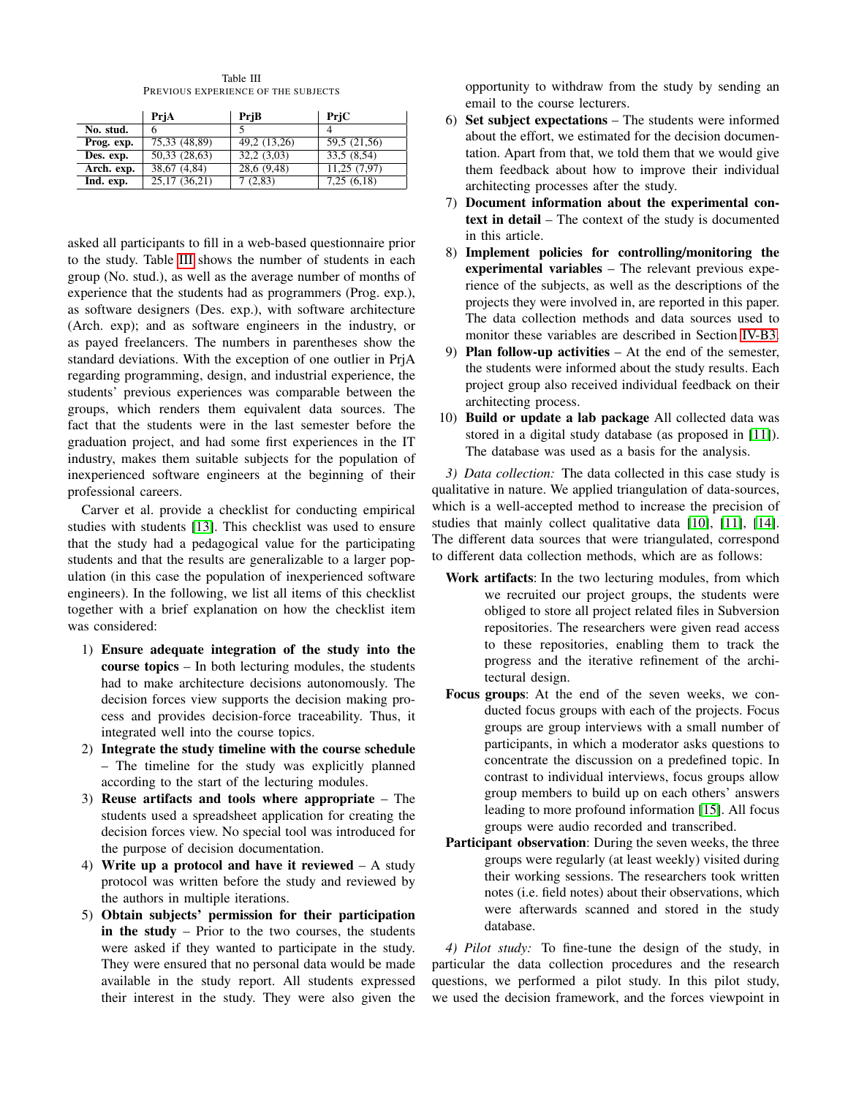Table III PREVIOUS EXPERIENCE OF THE SUBJECTS

<span id="page-5-0"></span>

|                                | PrjA          | PriB         | PriC         |
|--------------------------------|---------------|--------------|--------------|
| No. stud.                      |               |              |              |
| Prog. exp.                     | 75,33 (48,89) | 49,2 (13,26) | 59,5 (21,56) |
| Des. exp.                      | 50,33 (28,63) | 32,2(3,03)   | 33.5 (8.54)  |
| $\overline{\text{Arch.}}$ exp. | 38,67 (4,84)  | 28,6(9,48)   | 11,25(7,97)  |
| Ind. exp.                      | 25,17(36,21)  | 7(2,83)      | 7,25(6,18)   |

asked all participants to fill in a web-based questionnaire prior to the study. Table [III](#page-5-0) shows the number of students in each group (No. stud.), as well as the average number of months of experience that the students had as programmers (Prog. exp.), as software designers (Des. exp.), with software architecture (Arch. exp); and as software engineers in the industry, or as payed freelancers. The numbers in parentheses show the standard deviations. With the exception of one outlier in PrjA regarding programming, design, and industrial experience, the students' previous experiences was comparable between the groups, which renders them equivalent data sources. The fact that the students were in the last semester before the graduation project, and had some first experiences in the IT industry, makes them suitable subjects for the population of inexperienced software engineers at the beginning of their professional careers.

Carver et al. provide a checklist for conducting empirical studies with students [\[13\]](#page-9-13). This checklist was used to ensure that the study had a pedagogical value for the participating students and that the results are generalizable to a larger population (in this case the population of inexperienced software engineers). In the following, we list all items of this checklist together with a brief explanation on how the checklist item was considered:

- 1) Ensure adequate integration of the study into the course topics – In both lecturing modules, the students had to make architecture decisions autonomously. The decision forces view supports the decision making process and provides decision-force traceability. Thus, it integrated well into the course topics.
- 2) Integrate the study timeline with the course schedule – The timeline for the study was explicitly planned according to the start of the lecturing modules.
- 3) Reuse artifacts and tools where appropriate The students used a spreadsheet application for creating the decision forces view. No special tool was introduced for the purpose of decision documentation.
- 4) Write up a protocol and have it reviewed  $A$  study protocol was written before the study and reviewed by the authors in multiple iterations.
- 5) Obtain subjects' permission for their participation in the study – Prior to the two courses, the students were asked if they wanted to participate in the study. They were ensured that no personal data would be made available in the study report. All students expressed their interest in the study. They were also given the

opportunity to withdraw from the study by sending an email to the course lecturers.

- 6) Set subject expectations The students were informed about the effort, we estimated for the decision documentation. Apart from that, we told them that we would give them feedback about how to improve their individual architecting processes after the study.
- 7) Document information about the experimental context in detail – The context of the study is documented in this article.
- 8) Implement policies for controlling/monitoring the experimental variables – The relevant previous experience of the subjects, as well as the descriptions of the projects they were involved in, are reported in this paper. The data collection methods and data sources used to monitor these variables are described in Section [IV-B3.](#page-5-1)
- 9) Plan follow-up activities At the end of the semester, the students were informed about the study results. Each project group also received individual feedback on their architecting process.
- 10) Build or update a lab package All collected data was stored in a digital study database (as proposed in [\[11\]](#page-9-11)). The database was used as a basis for the analysis.

<span id="page-5-1"></span>*3) Data collection:* The data collected in this case study is qualitative in nature. We applied triangulation of data-sources, which is a well-accepted method to increase the precision of studies that mainly collect qualitative data [\[10\]](#page-9-10), [\[11\]](#page-9-11), [\[14\]](#page-9-14). The different data sources that were triangulated, correspond to different data collection methods, which are as follows:

- Work artifacts: In the two lecturing modules, from which we recruited our project groups, the students were obliged to store all project related files in Subversion repositories. The researchers were given read access to these repositories, enabling them to track the progress and the iterative refinement of the architectural design.
- Focus groups: At the end of the seven weeks, we conducted focus groups with each of the projects. Focus groups are group interviews with a small number of participants, in which a moderator asks questions to concentrate the discussion on a predefined topic. In contrast to individual interviews, focus groups allow group members to build up on each others' answers leading to more profound information [\[15\]](#page-9-15). All focus groups were audio recorded and transcribed.
- Participant observation: During the seven weeks, the three groups were regularly (at least weekly) visited during their working sessions. The researchers took written notes (i.e. field notes) about their observations, which were afterwards scanned and stored in the study database.

*4) Pilot study:* To fine-tune the design of the study, in particular the data collection procedures and the research questions, we performed a pilot study. In this pilot study, we used the decision framework, and the forces viewpoint in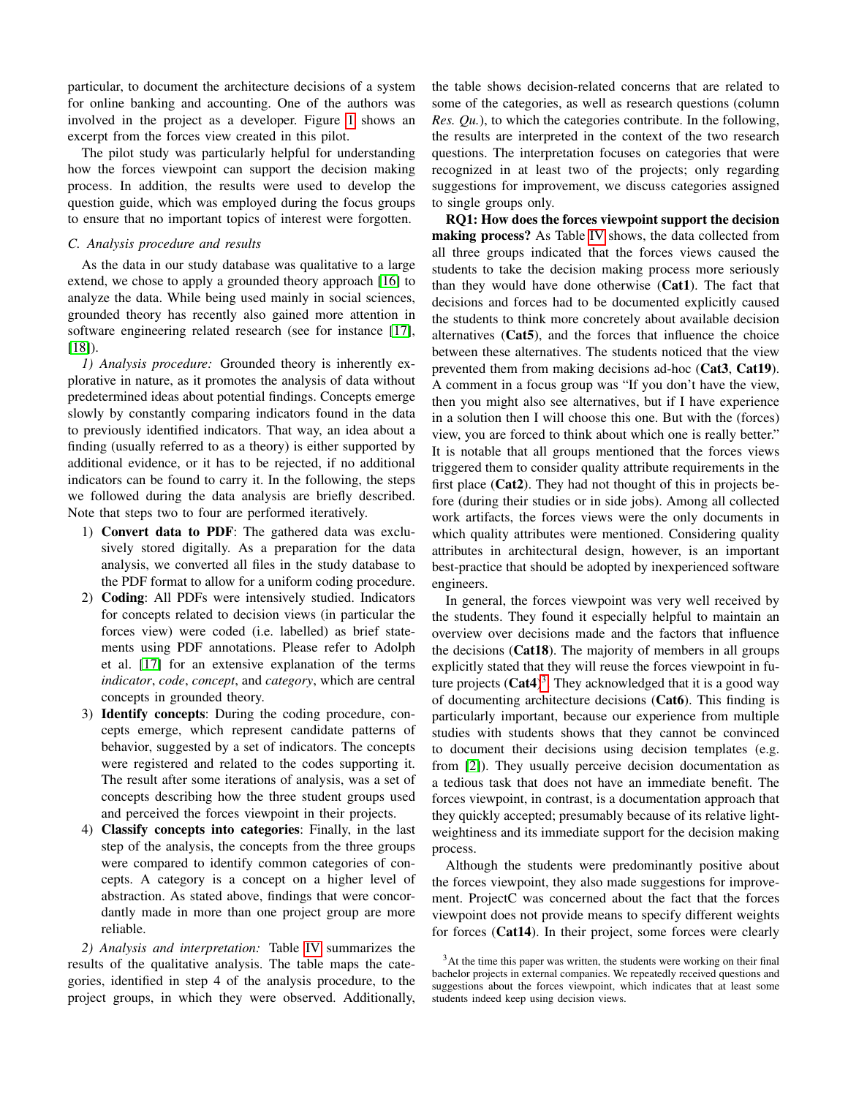particular, to document the architecture decisions of a system for online banking and accounting. One of the authors was involved in the project as a developer. Figure [1](#page-2-0) shows an excerpt from the forces view created in this pilot.

The pilot study was particularly helpful for understanding how the forces viewpoint can support the decision making process. In addition, the results were used to develop the question guide, which was employed during the focus groups to ensure that no important topics of interest were forgotten.

## *C. Analysis procedure and results*

As the data in our study database was qualitative to a large extend, we chose to apply a grounded theory approach [\[16\]](#page-9-16) to analyze the data. While being used mainly in social sciences, grounded theory has recently also gained more attention in software engineering related research (see for instance [\[17\]](#page-9-17), [\[18\]](#page-9-18)).

*1) Analysis procedure:* Grounded theory is inherently explorative in nature, as it promotes the analysis of data without predetermined ideas about potential findings. Concepts emerge slowly by constantly comparing indicators found in the data to previously identified indicators. That way, an idea about a finding (usually referred to as a theory) is either supported by additional evidence, or it has to be rejected, if no additional indicators can be found to carry it. In the following, the steps we followed during the data analysis are briefly described. Note that steps two to four are performed iteratively.

- 1) Convert data to PDF: The gathered data was exclusively stored digitally. As a preparation for the data analysis, we converted all files in the study database to the PDF format to allow for a uniform coding procedure.
- 2) Coding: All PDFs were intensively studied. Indicators for concepts related to decision views (in particular the forces view) were coded (i.e. labelled) as brief statements using PDF annotations. Please refer to Adolph et al. [\[17\]](#page-9-17) for an extensive explanation of the terms *indicator*, *code*, *concept*, and *category*, which are central concepts in grounded theory.
- 3) Identify concepts: During the coding procedure, concepts emerge, which represent candidate patterns of behavior, suggested by a set of indicators. The concepts were registered and related to the codes supporting it. The result after some iterations of analysis, was a set of concepts describing how the three student groups used and perceived the forces viewpoint in their projects.
- 4) Classify concepts into categories: Finally, in the last step of the analysis, the concepts from the three groups were compared to identify common categories of concepts. A category is a concept on a higher level of abstraction. As stated above, findings that were concordantly made in more than one project group are more reliable.

*2) Analysis and interpretation:* Table [IV](#page-7-0) summarizes the results of the qualitative analysis. The table maps the categories, identified in step 4 of the analysis procedure, to the project groups, in which they were observed. Additionally, the table shows decision-related concerns that are related to some of the categories, as well as research questions (column *Res. Qu.*), to which the categories contribute. In the following, the results are interpreted in the context of the two research questions. The interpretation focuses on categories that were recognized in at least two of the projects; only regarding suggestions for improvement, we discuss categories assigned to single groups only.

RQ1: How does the forces viewpoint support the decision making process? As Table [IV](#page-7-0) shows, the data collected from all three groups indicated that the forces views caused the students to take the decision making process more seriously than they would have done otherwise (Cat1). The fact that decisions and forces had to be documented explicitly caused the students to think more concretely about available decision alternatives (Cat5), and the forces that influence the choice between these alternatives. The students noticed that the view prevented them from making decisions ad-hoc (Cat3, Cat19). A comment in a focus group was "If you don't have the view, then you might also see alternatives, but if I have experience in a solution then I will choose this one. But with the (forces) view, you are forced to think about which one is really better." It is notable that all groups mentioned that the forces views triggered them to consider quality attribute requirements in the first place (Cat2). They had not thought of this in projects before (during their studies or in side jobs). Among all collected work artifacts, the forces views were the only documents in which quality attributes were mentioned. Considering quality attributes in architectural design, however, is an important best-practice that should be adopted by inexperienced software engineers.

In general, the forces viewpoint was very well received by the students. They found it especially helpful to maintain an overview over decisions made and the factors that influence the decisions (Cat18). The majority of members in all groups explicitly stated that they will reuse the forces viewpoint in future projects  $(Cat4)^3$  $(Cat4)^3$ . They acknowledged that it is a good way of documenting architecture decisions (Cat6). This finding is particularly important, because our experience from multiple studies with students shows that they cannot be convinced to document their decisions using decision templates (e.g. from [\[2\]](#page-9-1)). They usually perceive decision documentation as a tedious task that does not have an immediate benefit. The forces viewpoint, in contrast, is a documentation approach that they quickly accepted; presumably because of its relative lightweightiness and its immediate support for the decision making process.

Although the students were predominantly positive about the forces viewpoint, they also made suggestions for improvement. ProjectC was concerned about the fact that the forces viewpoint does not provide means to specify different weights for forces (Cat14). In their project, some forces were clearly

<span id="page-6-0"></span><sup>&</sup>lt;sup>3</sup>At the time this paper was written, the students were working on their final bachelor projects in external companies. We repeatedly received questions and suggestions about the forces viewpoint, which indicates that at least some students indeed keep using decision views.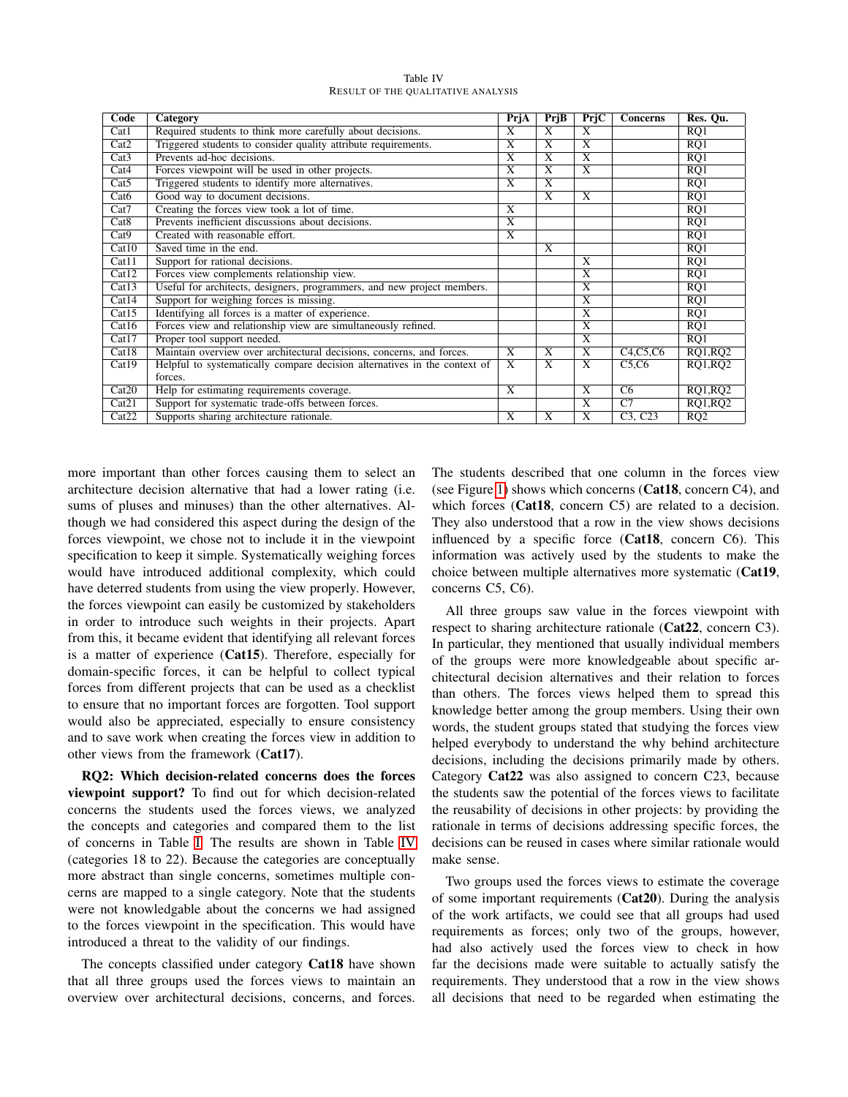<span id="page-7-0"></span>

| Code             | Category                                                                  | PrjA                    | PrjB                    | PrjC                    | <b>Concerns</b>                  | Res. Ou.        |
|------------------|---------------------------------------------------------------------------|-------------------------|-------------------------|-------------------------|----------------------------------|-----------------|
| Cat1             | Required students to think more carefully about decisions.                | X                       | X                       | X                       |                                  | RQ1             |
| Cat2             | Triggered students to consider quality attribute requirements.            | $\overline{\mathbf{X}}$ | X                       | $\overline{X}$          |                                  | RQ1             |
| Cat3             | Prevents ad-hoc decisions.                                                | $\overline{\mathbf{X}}$ | $\overline{X}$          | $\overline{X}$          |                                  | RQ1             |
| Cat4             | Forces viewpoint will be used in other projects.                          | $\overline{X}$          | $\overline{X}$          | $\overline{X}$          |                                  | RQ1             |
| Cat5             | Triggered students to identify more alternatives.                         | $\overline{\mathrm{x}}$ | $\overline{\mathrm{x}}$ |                         |                                  | RQ1             |
| Cat6             | Good way to document decisions.                                           |                         | $\overline{\mathbf{x}}$ | $\overline{X}$          |                                  | RQ1             |
| Cat7             | Creating the forces view took a lot of time.                              | $\overline{X}$          |                         |                         |                                  | RQ1             |
| Cat <sub>8</sub> | Prevents inefficient discussions about decisions.                         | $\overline{X}$          |                         |                         |                                  | RQ1             |
| Cat9             | Created with reasonable effort.                                           | X                       |                         |                         |                                  | RQ1             |
| Cat10            | Saved time in the end.                                                    |                         | $\mathbf{x}$            |                         |                                  | RQ1             |
| Cat11            | Support for rational decisions.                                           |                         |                         | X                       |                                  | RQ1             |
| Cat12            | Forces view complements relationship view.                                |                         |                         | X                       |                                  | RQ1             |
| Cat13            | Useful for architects, designers, programmers, and new project members.   |                         |                         | X                       |                                  | RQ1             |
| Cat14            | Support for weighing forces is missing.                                   |                         |                         | X                       |                                  | RQ1             |
| Cat15            | Identifying all forces is a matter of experience.                         |                         |                         | X                       |                                  | RQ1             |
| Cat16            | Forces view and relationship view are simultaneously refined.             |                         |                         | X                       |                                  | RQ1             |
| Cat17            | Proper tool support needed.                                               |                         |                         | X                       |                                  | RQ1             |
| Cat18            | Maintain overview over architectural decisions, concerns, and forces.     | X                       | X                       | X                       | C4, C5, C6                       | RQ1, RQ2        |
| Cat19            | Helpful to systematically compare decision alternatives in the context of | X                       | X                       | X                       | C5,C6                            | RQ1, RQ2        |
|                  | forces.                                                                   |                         |                         |                         |                                  |                 |
| Cat20            | Help for estimating requirements coverage.                                | $\overline{\mathbf{x}}$ |                         | $\overline{\mathbf{x}}$ | $\overline{\text{C6}}$           | <b>RQ1, RQ2</b> |
| Cat21            | Support for systematic trade-offs between forces.                         |                         |                         | X                       | C7                               | <b>RQ1, RQ2</b> |
| Cat22            | Supports sharing architecture rationale.                                  | X                       | X                       | X                       | C <sub>3</sub> , C <sub>23</sub> | RQ2             |

Table IV RESULT OF THE QUALITATIVE ANALYSIS

more important than other forces causing them to select an architecture decision alternative that had a lower rating (i.e. sums of pluses and minuses) than the other alternatives. Although we had considered this aspect during the design of the forces viewpoint, we chose not to include it in the viewpoint specification to keep it simple. Systematically weighing forces would have introduced additional complexity, which could have deterred students from using the view properly. However, the forces viewpoint can easily be customized by stakeholders in order to introduce such weights in their projects. Apart from this, it became evident that identifying all relevant forces is a matter of experience (Cat15). Therefore, especially for domain-specific forces, it can be helpful to collect typical forces from different projects that can be used as a checklist to ensure that no important forces are forgotten. Tool support would also be appreciated, especially to ensure consistency and to save work when creating the forces view in addition to other views from the framework (Cat17).

RQ2: Which decision-related concerns does the forces viewpoint support? To find out for which decision-related concerns the students used the forces views, we analyzed the concepts and categories and compared them to the list of concerns in Table [I.](#page-3-0) The results are shown in Table [IV](#page-7-0) (categories 18 to 22). Because the categories are conceptually more abstract than single concerns, sometimes multiple concerns are mapped to a single category. Note that the students were not knowledgable about the concerns we had assigned to the forces viewpoint in the specification. This would have introduced a threat to the validity of our findings.

The concepts classified under category Cat18 have shown that all three groups used the forces views to maintain an overview over architectural decisions, concerns, and forces. The students described that one column in the forces view (see Figure [1\)](#page-2-0) shows which concerns (Cat18, concern C4), and which forces (Cat18, concern C5) are related to a decision. They also understood that a row in the view shows decisions influenced by a specific force (Cat18, concern C6). This information was actively used by the students to make the choice between multiple alternatives more systematic (Cat19, concerns C5, C6).

All three groups saw value in the forces viewpoint with respect to sharing architecture rationale (Cat22, concern C3). In particular, they mentioned that usually individual members of the groups were more knowledgeable about specific architectural decision alternatives and their relation to forces than others. The forces views helped them to spread this knowledge better among the group members. Using their own words, the student groups stated that studying the forces view helped everybody to understand the why behind architecture decisions, including the decisions primarily made by others. Category Cat22 was also assigned to concern C23, because the students saw the potential of the forces views to facilitate the reusability of decisions in other projects: by providing the rationale in terms of decisions addressing specific forces, the decisions can be reused in cases where similar rationale would make sense.

Two groups used the forces views to estimate the coverage of some important requirements (Cat20). During the analysis of the work artifacts, we could see that all groups had used requirements as forces; only two of the groups, however, had also actively used the forces view to check in how far the decisions made were suitable to actually satisfy the requirements. They understood that a row in the view shows all decisions that need to be regarded when estimating the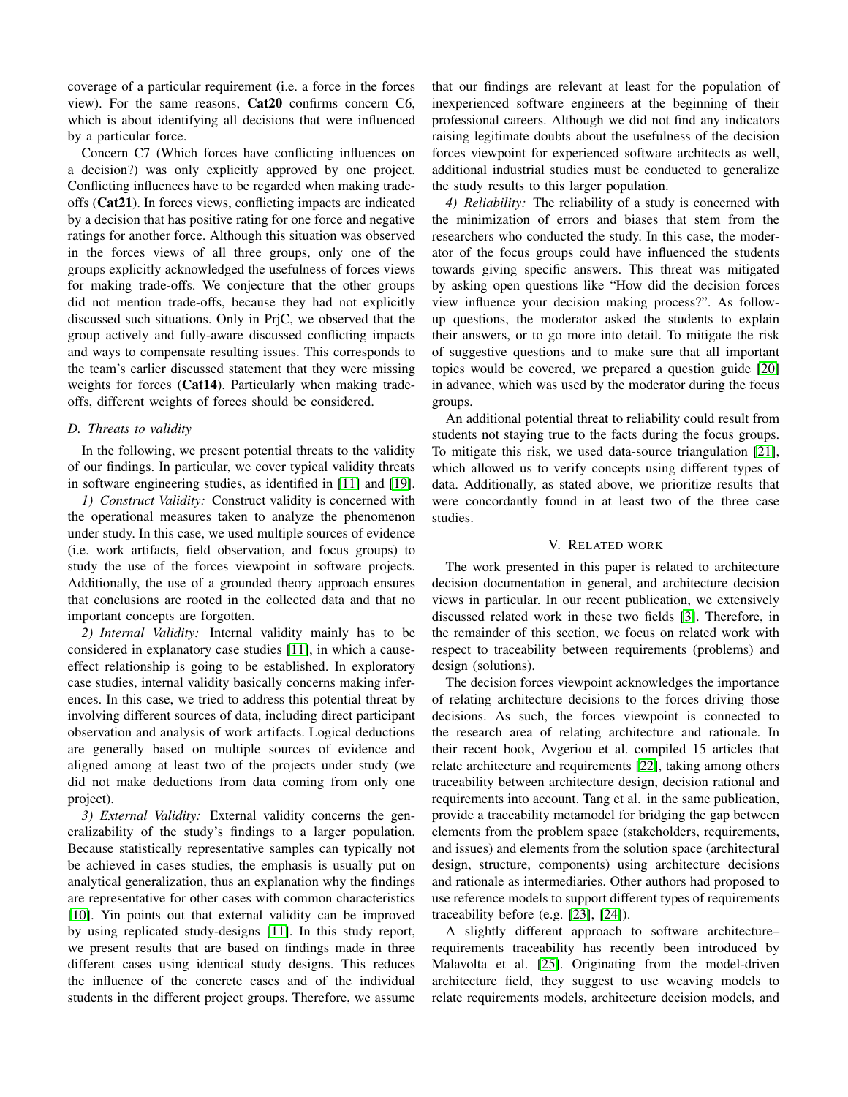coverage of a particular requirement (i.e. a force in the forces view). For the same reasons, Cat20 confirms concern C6, which is about identifying all decisions that were influenced by a particular force.

Concern C7 (Which forces have conflicting influences on a decision?) was only explicitly approved by one project. Conflicting influences have to be regarded when making tradeoffs (Cat21). In forces views, conflicting impacts are indicated by a decision that has positive rating for one force and negative ratings for another force. Although this situation was observed in the forces views of all three groups, only one of the groups explicitly acknowledged the usefulness of forces views for making trade-offs. We conjecture that the other groups did not mention trade-offs, because they had not explicitly discussed such situations. Only in PrjC, we observed that the group actively and fully-aware discussed conflicting impacts and ways to compensate resulting issues. This corresponds to the team's earlier discussed statement that they were missing weights for forces (Cat14). Particularly when making tradeoffs, different weights of forces should be considered.

## *D. Threats to validity*

In the following, we present potential threats to the validity of our findings. In particular, we cover typical validity threats in software engineering studies, as identified in [\[11\]](#page-9-11) and [\[19\]](#page-9-19).

*1) Construct Validity:* Construct validity is concerned with the operational measures taken to analyze the phenomenon under study. In this case, we used multiple sources of evidence (i.e. work artifacts, field observation, and focus groups) to study the use of the forces viewpoint in software projects. Additionally, the use of a grounded theory approach ensures that conclusions are rooted in the collected data and that no important concepts are forgotten.

*2) Internal Validity:* Internal validity mainly has to be considered in explanatory case studies [\[11\]](#page-9-11), in which a causeeffect relationship is going to be established. In exploratory case studies, internal validity basically concerns making inferences. In this case, we tried to address this potential threat by involving different sources of data, including direct participant observation and analysis of work artifacts. Logical deductions are generally based on multiple sources of evidence and aligned among at least two of the projects under study (we did not make deductions from data coming from only one project).

*3) External Validity:* External validity concerns the generalizability of the study's findings to a larger population. Because statistically representative samples can typically not be achieved in cases studies, the emphasis is usually put on analytical generalization, thus an explanation why the findings are representative for other cases with common characteristics [\[10\]](#page-9-10). Yin points out that external validity can be improved by using replicated study-designs [\[11\]](#page-9-11). In this study report, we present results that are based on findings made in three different cases using identical study designs. This reduces the influence of the concrete cases and of the individual students in the different project groups. Therefore, we assume that our findings are relevant at least for the population of inexperienced software engineers at the beginning of their professional careers. Although we did not find any indicators raising legitimate doubts about the usefulness of the decision forces viewpoint for experienced software architects as well, additional industrial studies must be conducted to generalize the study results to this larger population.

*4) Reliability:* The reliability of a study is concerned with the minimization of errors and biases that stem from the researchers who conducted the study. In this case, the moderator of the focus groups could have influenced the students towards giving specific answers. This threat was mitigated by asking open questions like "How did the decision forces view influence your decision making process?". As followup questions, the moderator asked the students to explain their answers, or to go more into detail. To mitigate the risk of suggestive questions and to make sure that all important topics would be covered, we prepared a question guide [\[20\]](#page-9-20) in advance, which was used by the moderator during the focus groups.

An additional potential threat to reliability could result from students not staying true to the facts during the focus groups. To mitigate this risk, we used data-source triangulation [\[21\]](#page-9-21), which allowed us to verify concepts using different types of data. Additionally, as stated above, we prioritize results that were concordantly found in at least two of the three case studies.

## V. RELATED WORK

The work presented in this paper is related to architecture decision documentation in general, and architecture decision views in particular. In our recent publication, we extensively discussed related work in these two fields [\[3\]](#page-9-2). Therefore, in the remainder of this section, we focus on related work with respect to traceability between requirements (problems) and design (solutions).

The decision forces viewpoint acknowledges the importance of relating architecture decisions to the forces driving those decisions. As such, the forces viewpoint is connected to the research area of relating architecture and rationale. In their recent book, Avgeriou et al. compiled 15 articles that relate architecture and requirements [\[22\]](#page-9-22), taking among others traceability between architecture design, decision rational and requirements into account. Tang et al. in the same publication, provide a traceability metamodel for bridging the gap between elements from the problem space (stakeholders, requirements, and issues) and elements from the solution space (architectural design, structure, components) using architecture decisions and rationale as intermediaries. Other authors had proposed to use reference models to support different types of requirements traceability before (e.g. [\[23\]](#page-9-23), [\[24\]](#page-9-24)).

A slightly different approach to software architecture– requirements traceability has recently been introduced by Malavolta et al. [\[25\]](#page-9-25). Originating from the model-driven architecture field, they suggest to use weaving models to relate requirements models, architecture decision models, and